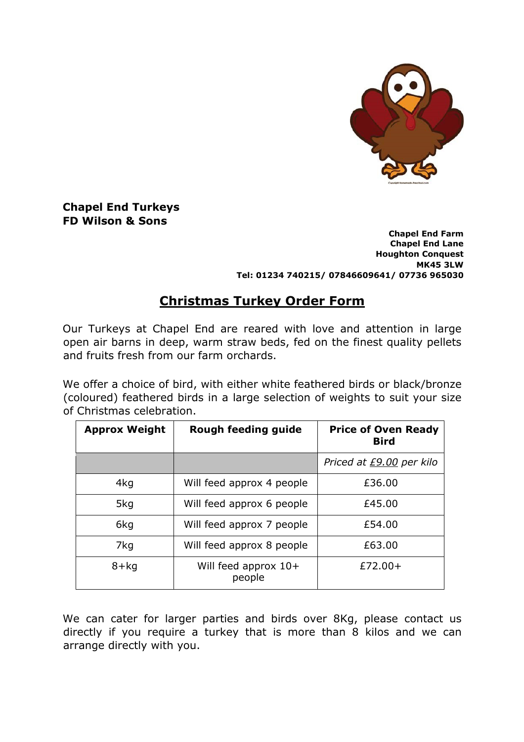

**Chapel End Turkeys FD Wilson & Sons** 

> **Chapel End Farm Chapel End Lane Houghton Conquest MK45 3LW Tel: 01234 740215/ 07846609641/ 07736 965030**

# **Christmas Turkey Order Form**

Our Turkeys at Chapel End are reared with love and attention in large open air barns in deep, warm straw beds, fed on the finest quality pellets and fruits fresh from our farm orchards.

We offer a choice of bird, with either white feathered birds or black/bronze (coloured) feathered birds in a large selection of weights to suit your size of Christmas celebration.

| <b>Approx Weight</b> | Rough feeding guide              | <b>Price of Oven Ready</b><br><b>Bird</b> |
|----------------------|----------------------------------|-------------------------------------------|
|                      |                                  | Priced at £9.00 per kilo                  |
| 4kg                  | Will feed approx 4 people        | £36.00                                    |
| 5kg                  | Will feed approx 6 people        | £45.00                                    |
| 6kg                  | Will feed approx 7 people        | £54.00                                    |
| 7kg                  | Will feed approx 8 people        | £63.00                                    |
| $8 + kq$             | Will feed approx $10+$<br>people | $£72.00+$                                 |

We can cater for larger parties and birds over 8Kg, please contact us directly if you require a turkey that is more than 8 kilos and we can arrange directly with you.